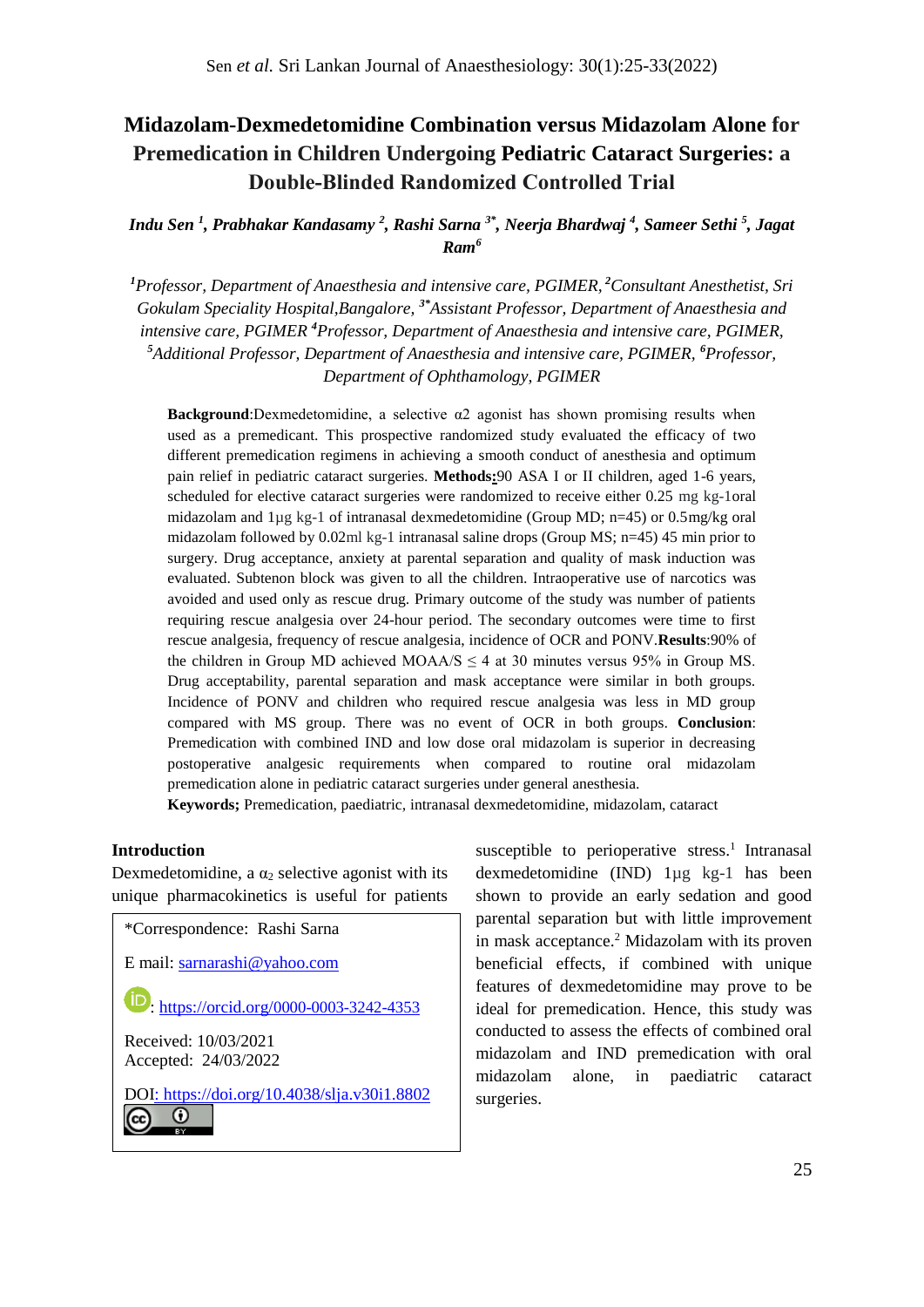# **Midazolam-Dexmedetomidine Combination versus Midazolam Alone for Premedication in Children Undergoing Pediatric Cataract Surgeries: a Double‐Blinded Randomized Controlled Trial**

*Indu Sen <sup>1</sup> , Prabhakar Kandasamy <sup>2</sup> , Rashi Sarna 3\*, Neerja Bhardwaj <sup>4</sup> , Sameer Sethi <sup>5</sup> , Jagat Ram<sup>6</sup>*

*<sup>1</sup>Professor, Department of Anaesthesia and intensive care, PGIMER, <sup>2</sup>Consultant Anesthetist, Sri Gokulam Speciality Hospital,Bangalore, 3\*Assistant Professor, Department of Anaesthesia and intensive care, PGIMER <sup>4</sup>Professor, Department of Anaesthesia and intensive care, PGIMER, <sup>5</sup>Additional Professor, Department of Anaesthesia and intensive care, PGIMER, <sup>6</sup>Professor, Department of Ophthamology, PGIMER*

**Background**:Dexmedetomidine, a selective α2 agonist has shown promising results when used as a premedicant. This prospective randomized study evaluated the efficacy of two different premedication regimens in achieving a smooth conduct of anesthesia and optimum pain relief in pediatric cataract surgeries. **Methods:**90 ASA I or II children, aged 1-6 years, scheduled for elective cataract surgeries were randomized to receive either 0.25 mg kg-1oral midazolam and 1µg kg-1 of intranasal dexmedetomidine (Group MD; n=45) or 0.5mg/kg oral midazolam followed by 0.02ml kg-1 intranasal saline drops (Group MS; n=45) 45 min prior to surgery. Drug acceptance, anxiety at parental separation and quality of mask induction was evaluated. Subtenon block was given to all the children. Intraoperative use of narcotics was avoided and used only as rescue drug. Primary outcome of the study was number of patients requiring rescue analgesia over 24-hour period. The secondary outcomes were time to first rescue analgesia, frequency of rescue analgesia, incidence of OCR and PONV.**Results**:90% of the children in Group MD achieved MOAA/S  $\leq$  4 at 30 minutes versus 95% in Group MS. Drug acceptability, parental separation and mask acceptance were similar in both groups. Incidence of PONV and children who required rescue analgesia was less in MD group compared with MS group. There was no event of OCR in both groups. **Conclusion**: Premedication with combined IND and low dose oral midazolam is superior in decreasing postoperative analgesic requirements when compared to routine oral midazolam premedication alone in pediatric cataract surgeries under general anesthesia.

**Keywords;** Premedication, paediatric, intranasal dexmedetomidine, midazolam, cataract

#### **Introduction**

Dexmedetomidine, a  $\alpha_2$  selective agonist with its unique pharmacokinetics is useful for patients

\*Correspondence: Rashi Sarna E mail: [sarnarashi@yahoo.com](mailto:sarnarashi@yahoo.com) **D**: https://orcid.org/[0000-0003-3242-4353](https://orcid.org/0000-0003-3242-4353) Received: 10/03/2021 Accepted: 24/03/2022 DOI: <https://doi.org/10.4038/slja.v30i1.8802>⋒ (cc

susceptible to perioperative stress.<sup>1</sup> Intranasal dexmedetomidine (IND) 1µg kg-1 has been shown to provide an early sedation and good parental separation but with little improvement in mask acceptance. <sup>2</sup> Midazolam with its proven beneficial effects, if combined with unique features of dexmedetomidine may prove to be ideal for premedication. Hence, this study was conducted to assess the effects of combined oral midazolam and IND premedication with oral midazolam alone, in paediatric cataract surgeries.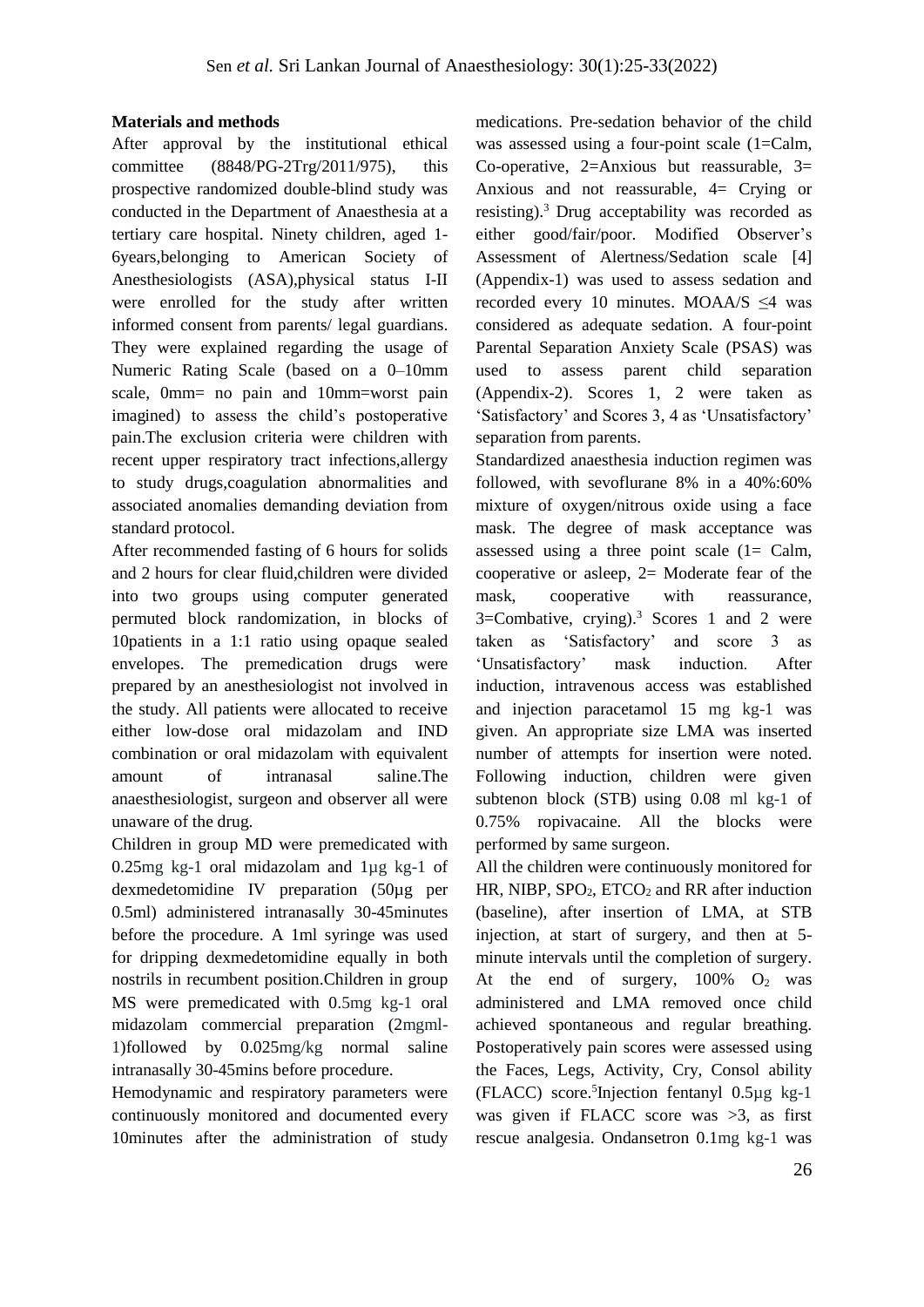## **Materials and methods**

After approval by the institutional ethical committee (8848/PG-2Trg/2011/975), this prospective randomized double-blind study was conducted in the Department of Anaesthesia at a tertiary care hospital. Ninety children, aged 1- 6years,belonging to American Society of Anesthesiologists (ASA),physical status I-II were enrolled for the study after written informed consent from parents/ legal guardians. They were explained regarding the usage of Numeric Rating Scale (based on a 0–10mm scale, 0mm= no pain and 10mm=worst pain imagined) to assess the child's postoperative pain.The exclusion criteria were children with recent upper respiratory tract infections,allergy to study drugs,coagulation abnormalities and associated anomalies demanding deviation from standard protocol.

After recommended fasting of 6 hours for solids and 2 hours for clear fluid,children were divided into two groups using computer generated permuted block randomization, in blocks of 10patients in a 1:1 ratio using opaque sealed envelopes. The premedication drugs were prepared by an anesthesiologist not involved in the study. All patients were allocated to receive either low-dose oral midazolam and IND combination or oral midazolam with equivalent amount of intranasal saline.The anaesthesiologist, surgeon and observer all were unaware of the drug.

Children in group MD were premedicated with 0.25mg kg-1 oral midazolam and 1µg kg-1 of dexmedetomidine IV preparation (50µg per 0.5ml) administered intranasally 30-45minutes before the procedure. A 1ml syringe was used for dripping dexmedetomidine equally in both nostrils in recumbent position.Children in group MS were premedicated with 0.5mg kg-1 oral midazolam commercial preparation (2mgml-1)followed by 0.025mg/kg normal saline intranasally 30-45mins before procedure.

Hemodynamic and respiratory parameters were continuously monitored and documented every 10minutes after the administration of study medications. Pre-sedation behavior of the child was assessed using a four-point scale (1=Calm, Co-operative,  $2=$ Anxious but reassurable,  $3=$ Anxious and not reassurable, 4= Crying or resisting). <sup>3</sup>Drug acceptability was recorded as either good/fair/poor. Modified Observer's Assessment of Alertness/Sedation scale [4] (Appendix-1) was used to assess sedation and recorded every 10 minutes. MOAA/S ≤4 was considered as adequate sedation. A four-point Parental Separation Anxiety Scale (PSAS) was used to assess parent child separation (Appendix-2). Scores 1, 2 were taken as 'Satisfactory' and Scores 3, 4 as 'Unsatisfactory' separation from parents.

Standardized anaesthesia induction regimen was followed, with sevoflurane 8% in a 40%:60% mixture of oxygen/nitrous oxide using a face mask. The degree of mask acceptance was assessed using a three point scale (1= Calm, cooperative or asleep, 2= Moderate fear of the mask, cooperative with reassurance,  $3 =$ Combative, crying).<sup>3</sup> Scores 1 and 2 were taken as 'Satisfactory' and score 3 as 'Unsatisfactory' mask induction. After induction, intravenous access was established and injection paracetamol 15 mg kg-1 was given. An appropriate size LMA was inserted number of attempts for insertion were noted. Following induction, children were given subtenon block (STB) using 0.08 ml kg-1 of 0.75% ropivacaine. All the blocks were performed by same surgeon.

All the children were continuously monitored for HR, NIBP,  $SPO<sub>2</sub>$ ,  $ETCO<sub>2</sub>$  and RR after induction (baseline), after insertion of LMA, at STB injection, at start of surgery, and then at 5 minute intervals until the completion of surgery. At the end of surgery,  $100\%$  O<sub>2</sub> was administered and LMA removed once child achieved spontaneous and regular breathing. Postoperatively pain scores were assessed using the Faces, Legs, Activity, Cry, Consol ability (FLACC) score. 5 Injection fentanyl 0.5µg kg-1 was given if FLACC score was  $>3$ , as first rescue analgesia. Ondansetron 0.1mg kg-1 was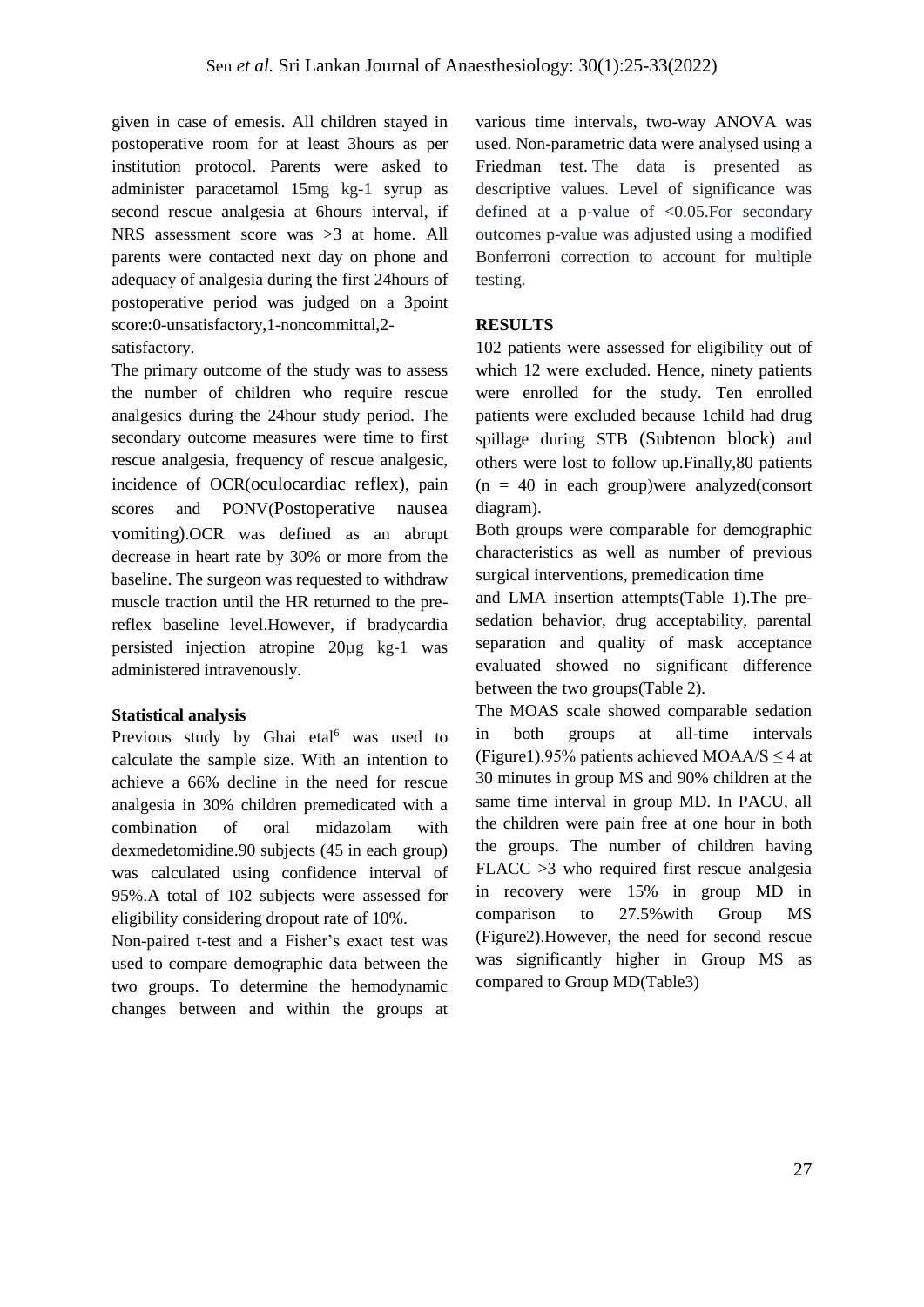given in case of emesis. All children stayed in postoperative room for at least 3hours as per institution protocol. Parents were asked to administer paracetamol 15mg kg-1 syrup as second rescue analgesia at 6hours interval, if NRS assessment score was >3 at home. All parents were contacted next day on phone and adequacy of analgesia during the first 24hours of postoperative period was judged on a 3point score:0-unsatisfactory,1-noncommittal,2 satisfactory.

The primary outcome of the study was to assess the number of children who require rescue analgesics during the 24hour study period. The secondary outcome measures were time to first rescue analgesia, frequency of rescue analgesic, incidence of OCR(oculocardiac reflex), pain scores and PONV(Postoperative nausea vomiting).OCR was defined as an abrupt decrease in heart rate by 30% or more from the baseline. The surgeon was requested to withdraw muscle traction until the HR returned to the prereflex baseline level.However, if bradycardia persisted injection atropine 20µg kg-1 was administered intravenously.

#### **Statistical analysis**

Previous study by Ghai etal<sup>6</sup> was used to calculate the sample size. With an intention to achieve a 66% decline in the need for rescue analgesia in 30% children premedicated with a combination of oral midazolam with dexmedetomidine.90 subjects (45 in each group) was calculated using confidence interval of 95%.A total of 102 subjects were assessed for eligibility considering dropout rate of 10%.

Non-paired t-test and a Fisher's exact test was used to compare demographic data between the two groups. To determine the hemodynamic changes between and within the groups at

various time intervals, two-way ANOVA was used. Non-parametric data were analysed using a Friedman test. The data is presented as descriptive values. Level of significance was defined at a p-value of  $\langle 0.05$ . For secondary outcomes p-value was adjusted using a modified Bonferroni correction to account for multiple testing.

## **RESULTS**

102 patients were assessed for eligibility out of which 12 were excluded. Hence, ninety patients were enrolled for the study. Ten enrolled patients were excluded because 1child had drug spillage during STB (Subtenon block) and others were lost to follow up.Finally,80 patients  $(n = 40$  in each group) were analyzed (consort diagram).

Both groups were comparable for demographic characteristics as well as number of previous surgical interventions, premedication time

and LMA insertion attempts(Table 1).The presedation behavior, drug acceptability, parental separation and quality of mask acceptance evaluated showed no significant difference between the two groups(Table 2).

The MOAS scale showed comparable sedation in both groups at all-time intervals (Figure1).95% patients achieved MOAA/S  $\leq$  4 at 30 minutes in group MS and 90% children at the same time interval in group MD. In PACU, all the children were pain free at one hour in both the groups. The number of children having FLACC >3 who required first rescue analgesia in recovery were 15% in group MD in comparison to 27.5%with Group MS (Figure2).However, the need for second rescue was significantly higher in Group MS as compared to Group MD(Table3)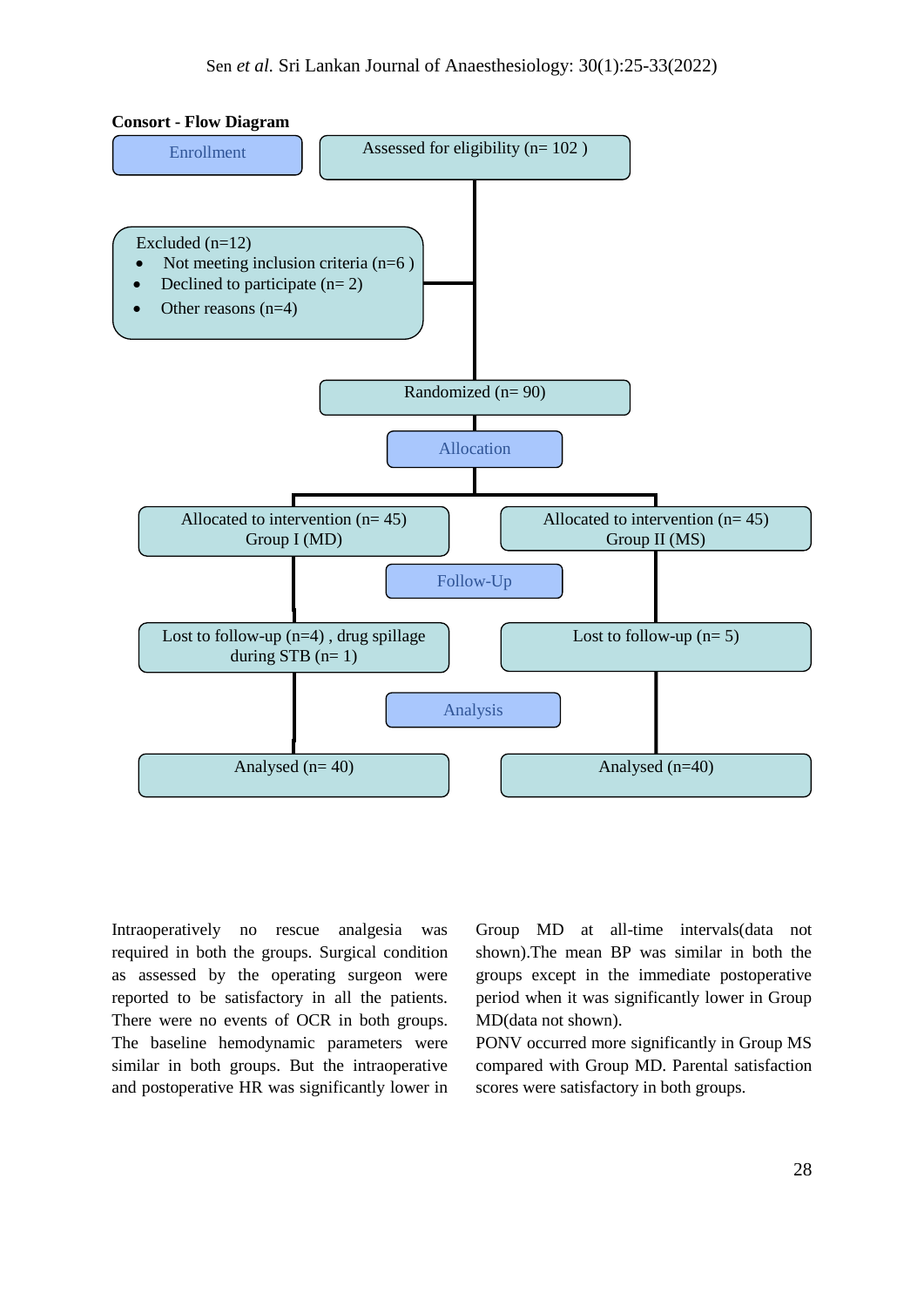

Intraoperatively no rescue analgesia was required in both the groups. Surgical condition as assessed by the operating surgeon were reported to be satisfactory in all the patients. There were no events of OCR in both groups. The baseline hemodynamic parameters were similar in both groups. But the intraoperative and postoperative HR was significantly lower in Group MD at all-time intervals(data not shown).The mean BP was similar in both the groups except in the immediate postoperative period when it was significantly lower in Group MD(data not shown).

PONV occurred more significantly in Group MS compared with Group MD. Parental satisfaction scores were satisfactory in both groups.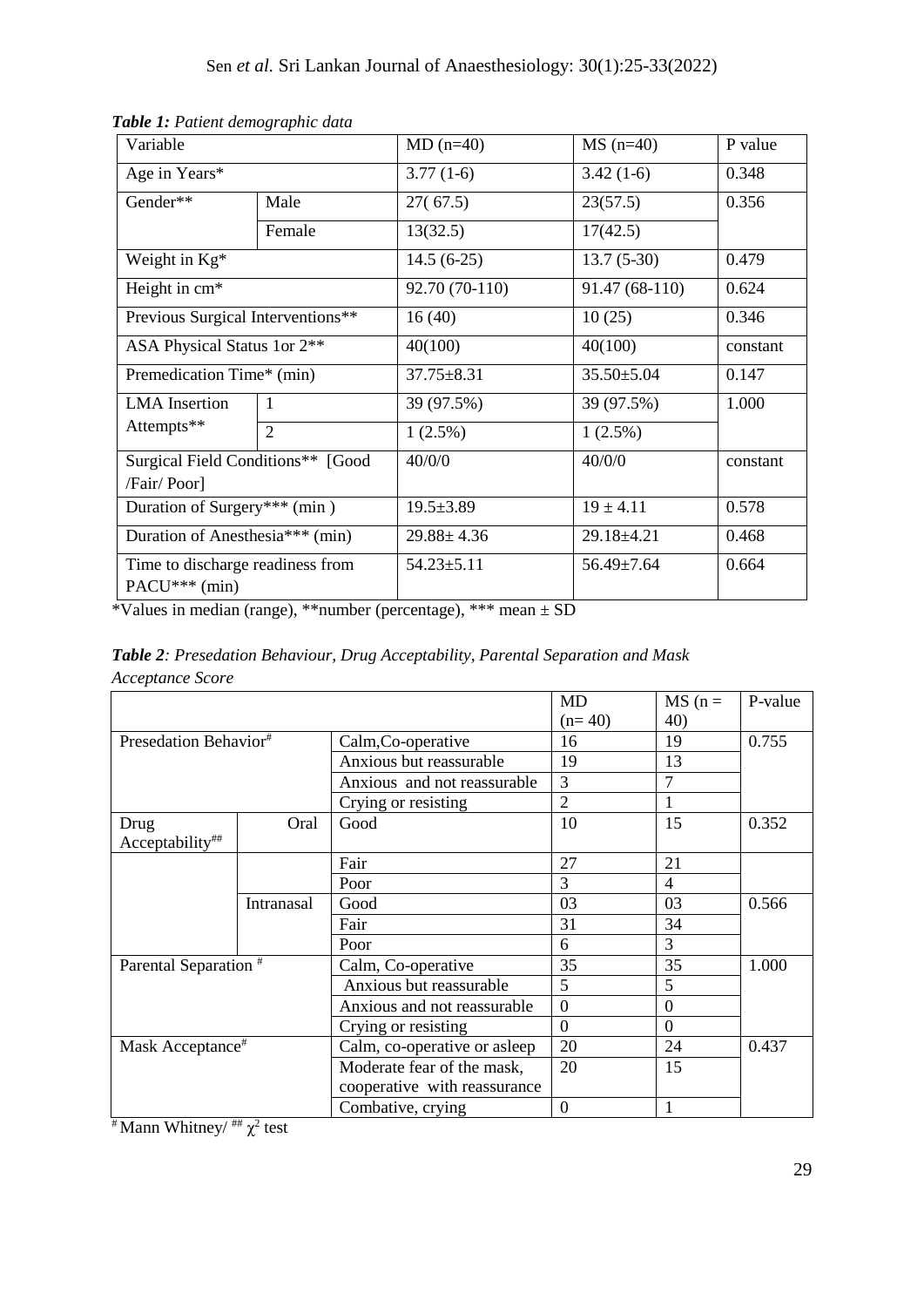| Variable                                          |                | $MD(n=40)$       | $MS(n=40)$       | P value  |  |
|---------------------------------------------------|----------------|------------------|------------------|----------|--|
| Age in Years*                                     |                | $3.77(1-6)$      | $3.42(1-6)$      | 0.348    |  |
| Gender**                                          | Male           | 27(67.5)         | 23(57.5)         | 0.356    |  |
|                                                   | Female         | 13(32.5)         | 17(42.5)         |          |  |
| Weight in Kg*                                     |                | $14.5(6-25)$     | $13.7(5-30)$     | 0.479    |  |
| Height in cm*                                     |                | 92.70 (70-110)   | 91.47 (68-110)   | 0.624    |  |
| Previous Surgical Interventions**                 |                | 16(40)           | 10(25)           | 0.346    |  |
| ASA Physical Status 1or 2**                       |                | 40(100)          | 40(100)          | constant |  |
| Premedication Time* (min)                         |                | $37.75 \pm 8.31$ | $35.50 \pm 5.04$ | 0.147    |  |
| <b>LMA</b> Insertion                              | -1             | 39 (97.5%)       | 39 (97.5%)       | 1.000    |  |
| Attempts**                                        | $\overline{2}$ | $1(2.5\%)$       | $1(2.5\%)$       |          |  |
| Surgical Field Conditions** [Good<br>/Fair/ Poor] |                | 40/0/0           | 40/0/0           | constant |  |
| Duration of Surgery*** (min)                      |                | $19.5 \pm 3.89$  | $19 \pm 4.11$    | 0.578    |  |
| Duration of Anesthesia*** (min)                   |                | $29.88 \pm 4.36$ | 29.18±4.21       | 0.468    |  |
| Time to discharge readiness from<br>PACU*** (min) |                | $54.23 \pm 5.11$ | 56.49±7.64       | 0.664    |  |

*Table 1: Patient demographic data*

\*Values in median (range), \*\*number (percentage), \*\*\* mean ± SD

*Table 2: Presedation Behaviour, Drug Acceptability, Parental Separation and Mask Acceptance Score*

|                                   |            |                              | <b>MD</b>      | $MS(n =$       | P-value |
|-----------------------------------|------------|------------------------------|----------------|----------------|---------|
|                                   |            |                              | $(n=40)$       | 40)            |         |
| Presedation Behavior <sup>#</sup> |            | Calm, Co-operative           | 16             | 19             | 0.755   |
|                                   |            | Anxious but reassurable      | 19             | 13             |         |
|                                   |            | Anxious and not reassurable. | 3              | 7              |         |
|                                   |            | Crying or resisting          | $\overline{2}$ |                |         |
| Drug                              | Oral       | Good                         | 10             | 15             | 0.352   |
| Acceptability##                   |            |                              |                |                |         |
|                                   |            | Fair                         | 27             | 21             |         |
|                                   |            | Poor                         | 3              | 4              |         |
|                                   | Intranasal | Good                         | 03             | 03             | 0.566   |
|                                   |            | Fair                         | 31             | 34             |         |
|                                   |            | Poor                         | 6              | 3              |         |
| Parental Separation <sup>#</sup>  |            | Calm, Co-operative           | 35             | 35             | 1.000   |
|                                   |            | Anxious but reassurable      | 5              | 5              |         |
|                                   |            | Anxious and not reassurable  | $\mathbf{0}$   | $\overline{0}$ |         |
|                                   |            | Crying or resisting          | $\theta$       | $\theta$       |         |
| Mask Acceptance <sup>#</sup>      |            | Calm, co-operative or asleep | 20             | 24             | 0.437   |
|                                   |            | Moderate fear of the mask,   | 20             | 15             |         |
|                                   |            | cooperative with reassurance |                |                |         |
|                                   |            | Combative, crying            | $\mathbf{0}$   | 1              |         |

<sup>#</sup> Mann Whitney/  $\mu$ <sup>+#</sup>  $\chi$ <sup>2</sup> test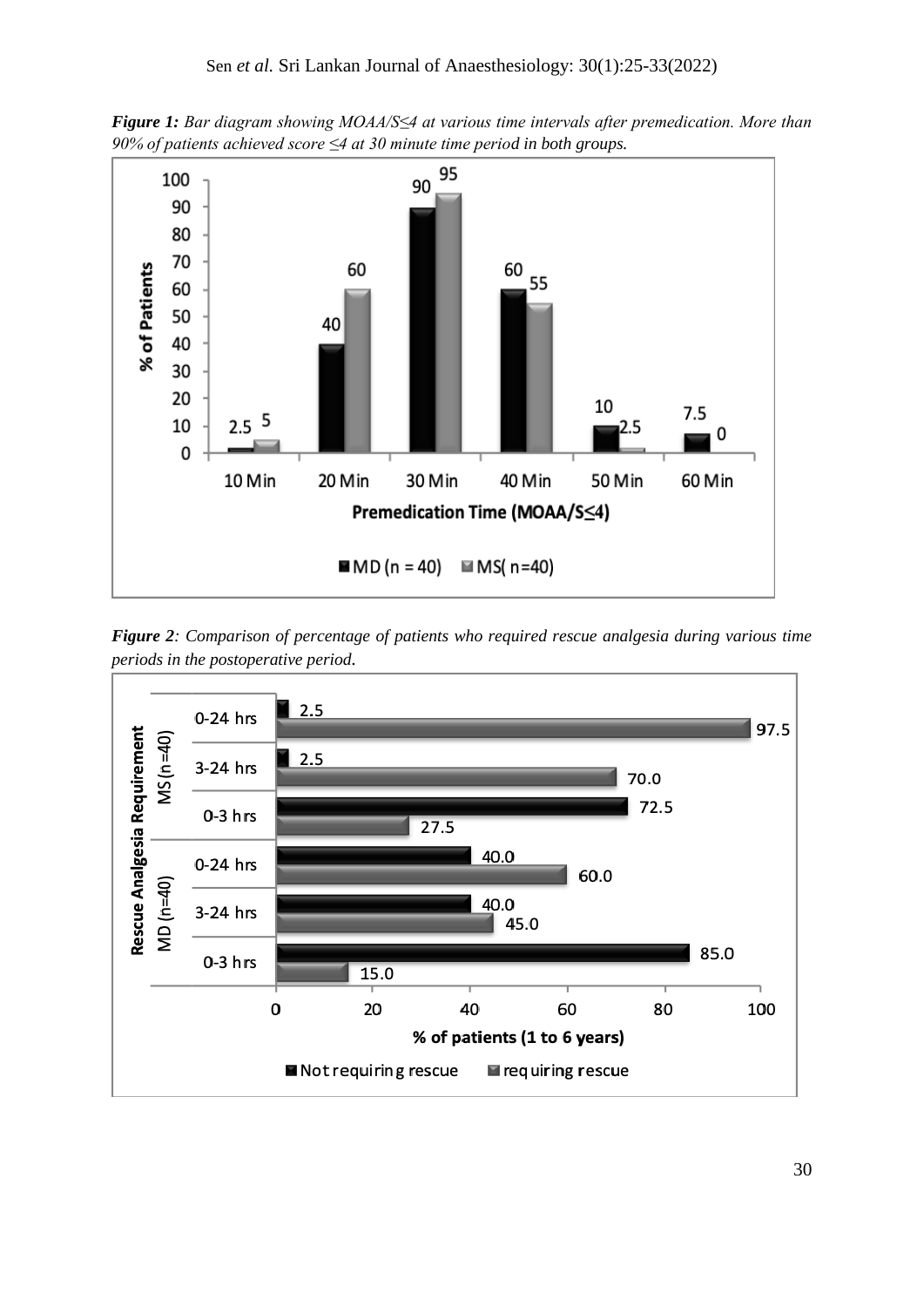*Figure 1: Bar diagram showing MOAA/S≤4 at various time intervals after premedication. More than 90% of patients achieved score ≤4 at 30 minute time period in both groups.*



*Figure 2: Comparison of percentage of patients who required rescue analgesia during various time periods in the postoperative period.*

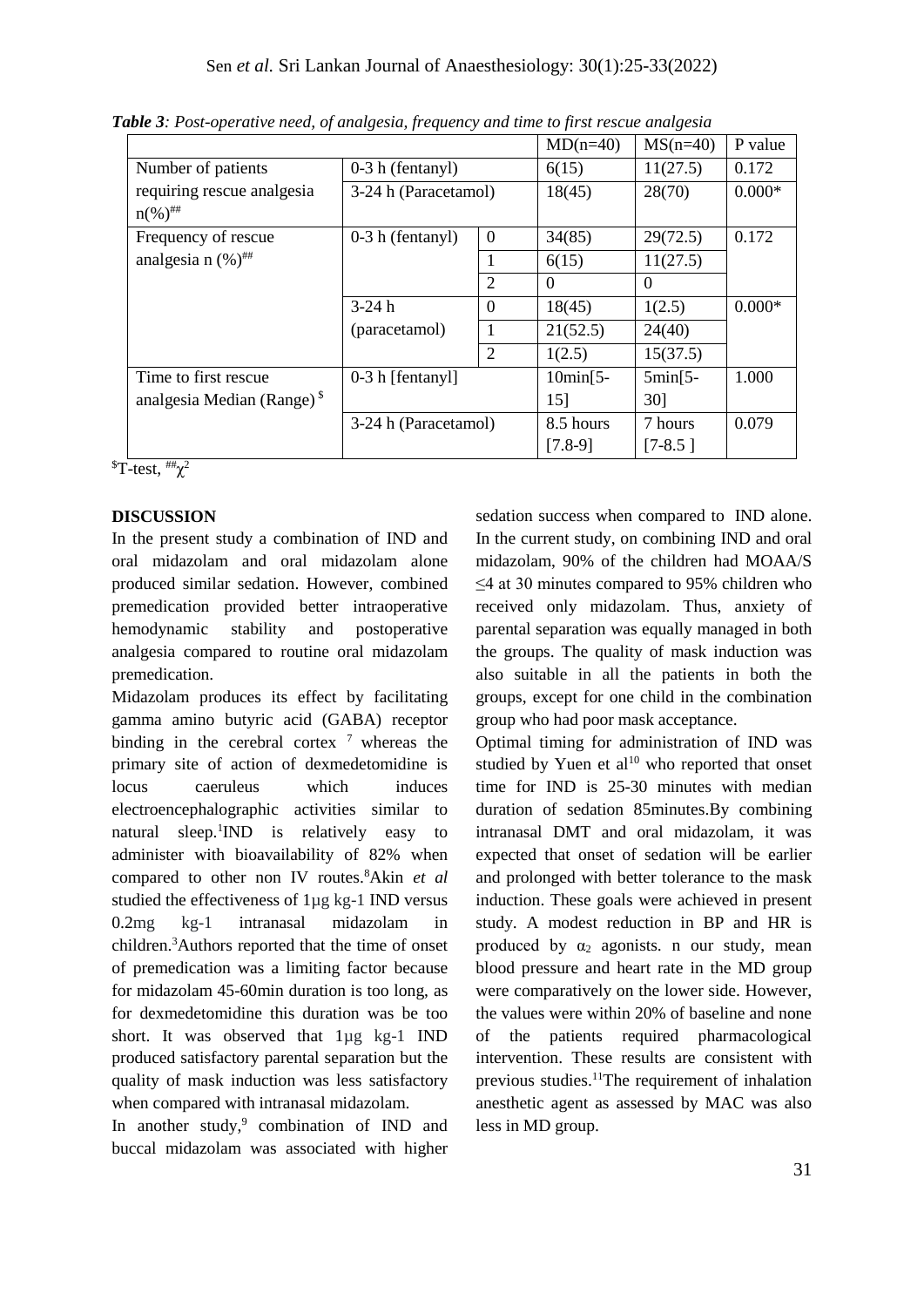|                                        |                      |                | $MD(n=40)$ | $MS(n=40)$ | P value  |
|----------------------------------------|----------------------|----------------|------------|------------|----------|
| Number of patients                     | $0-3$ h (fentanyl)   |                | 6(15)      | 11(27.5)   | 0.172    |
| requiring rescue analgesia             | 3-24 h (Paracetamol) |                | 18(45)     | 28(70)     | $0.000*$ |
| $n\left(\% \right)^{ \# \#}$           |                      |                |            |            |          |
| Frequency of rescue                    | $0-3$ h (fentanyl)   | $\theta$       | 34(85)     | 29(72.5)   | 0.172    |
| analgesia n $(%)^{\#}$                 |                      | 1              | 6(15)      | 11(27.5)   |          |
|                                        |                      | $\overline{2}$ | $\Omega$   | $\theta$   |          |
|                                        | $3-24h$              | $\Omega$       | 18(45)     | 1(2.5)     | $0.000*$ |
|                                        | (paracetamol)        |                | 21(52.5)   | 24(40)     |          |
|                                        |                      | $\overline{2}$ | 1(2.5)     | 15(37.5)   |          |
| Time to first rescue                   | $0-3$ h [fentanyl]   |                | $10min[5-$ | $5min[5 -$ | 1.000    |
| analgesia Median (Range) $\frac{1}{2}$ |                      |                | 15]        | 30]        |          |
|                                        | 3-24 h (Paracetamol) |                | 8.5 hours  | 7 hours    | 0.079    |
|                                        |                      |                | $[7.8-9]$  | $[7-8.5]$  |          |

*Table 3: Post-operative need, of analgesia, frequency and time to first rescue analgesia*

 $T-test, \#_{\chi^2}$ 

## **DISCUSSION**

In the present study a combination of IND and oral midazolam and oral midazolam alone produced similar sedation. However, combined premedication provided better intraoperative hemodynamic stability and postoperative analgesia compared to routine oral midazolam premedication.

Midazolam produces its effect by facilitating gamma amino butyric acid (GABA) receptor binding in the cerebral cortex  $\frac{7}{7}$  whereas the primary site of action of dexmedetomidine is locus caeruleus which induces electroencephalographic activities similar to natural sleep.<sup>1</sup>IND is relatively easy to administer with bioavailability of 82% when compared to other non IV routes.<sup>8</sup>Akin *et al* studied the effectiveness of 1µg kg-1 IND versus 0.2mg kg-1 intranasal midazolam in children. <sup>3</sup>Authors reported that the time of onset of premedication was a limiting factor because for midazolam 45-60min duration is too long, as for dexmedetomidine this duration was be too short. It was observed that  $1\mu$ g kg-1 IND produced satisfactory parental separation but the quality of mask induction was less satisfactory when compared with intranasal midazolam.

In another study, $9$  combination of IND and buccal midazolam was associated with higher

sedation success when compared to IND alone. In the current study, on combining IND and oral midazolam, 90% of the children had MOAA/S ≤4 at 30 minutes compared to 95% children who received only midazolam. Thus, anxiety of parental separation was equally managed in both the groups. The quality of mask induction was also suitable in all the patients in both the groups, except for one child in the combination group who had poor mask acceptance.

Optimal timing for administration of IND was studied by Yuen et  $al^{10}$  who reported that onset time for IND is 25-30 minutes with median duration of sedation 85minutes.By combining intranasal DMT and oral midazolam, it was expected that onset of sedation will be earlier and prolonged with better tolerance to the mask induction. These goals were achieved in present study. A modest reduction in BP and HR is produced by  $\alpha_2$  agonists. n our study, mean blood pressure and heart rate in the MD group were comparatively on the lower side. However, the values were within 20% of baseline and none of the patients required pharmacological intervention. These results are consistent with previous studies.<sup>11</sup>The requirement of inhalation anesthetic agent as assessed by MAC was also less in MD group.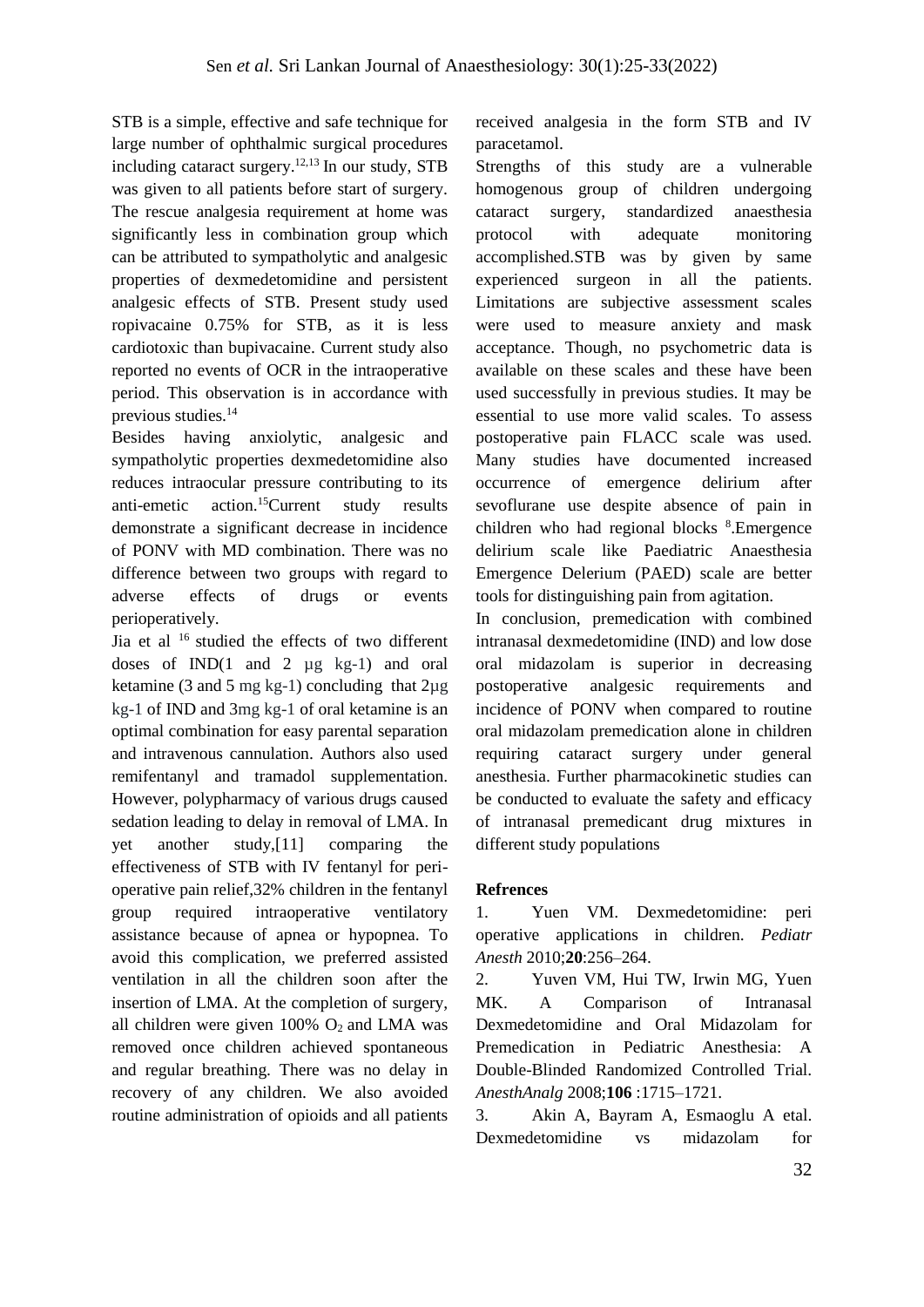STB is a simple, effective and safe technique for large number of ophthalmic surgical procedures including cataract surgery. 12,13 In our study, STB was given to all patients before start of surgery. The rescue analgesia requirement at home was significantly less in combination group which can be attributed to sympatholytic and analgesic properties of dexmedetomidine and persistent analgesic effects of STB. Present study used ropivacaine 0.75% for STB, as it is less cardiotoxic than bupivacaine. Current study also reported no events of OCR in the intraoperative period. This observation is in accordance with previous studies.<sup>14</sup>

Besides having anxiolytic, analgesic and sympatholytic properties dexmedetomidine also reduces intraocular pressure contributing to its anti-emetic action.<sup>15</sup>Current study results demonstrate a significant decrease in incidence of PONV with MD combination. There was no difference between two groups with regard to adverse effects of drugs or events perioperatively.

Jia et al <sup>16</sup> studied the effects of two different doses of  $IND(1 \text{ and } 2 \text{ µg kg-1})$  and oral ketamine (3 and 5 mg kg-1) concluding that 2µg kg-1 of IND and 3mg kg-1 of oral ketamine is an optimal combination for easy parental separation and intravenous cannulation. Authors also used remifentanyl and tramadol supplementation. However, polypharmacy of various drugs caused sedation leading to delay in removal of LMA. In yet another study,[11] comparing the effectiveness of STB with IV fentanyl for perioperative pain relief,32% children in the fentanyl group required intraoperative ventilatory assistance because of apnea or hypopnea. To avoid this complication, we preferred assisted ventilation in all the children soon after the insertion of LMA. At the completion of surgery, all children were given  $100\%$  O<sub>2</sub> and LMA was removed once children achieved spontaneous and regular breathing. There was no delay in recovery of any children. We also avoided routine administration of opioids and all patients

received analgesia in the form STB and IV paracetamol.

Strengths of this study are a vulnerable homogenous group of children undergoing cataract surgery, standardized anaesthesia protocol with adequate monitoring accomplished.STB was by given by same experienced surgeon in all the patients. Limitations are subjective assessment scales were used to measure anxiety and mask acceptance. Though, no psychometric data is available on these scales and these have been used successfully in previous studies. It may be essential to use more valid scales. To assess postoperative pain FLACC scale was used. Many studies have documented increased occurrence of emergence delirium after sevoflurane use despite absence of pain in children who had regional blocks <sup>8</sup> .Emergence delirium scale like Paediatric Anaesthesia Emergence Delerium (PAED) scale are better tools for distinguishing pain from agitation.

In conclusion, premedication with combined intranasal dexmedetomidine (IND) and low dose oral midazolam is superior in decreasing postoperative analgesic requirements and incidence of PONV when compared to routine oral midazolam premedication alone in children requiring cataract surgery under general anesthesia. Further pharmacokinetic studies can be conducted to evaluate the safety and efficacy of intranasal premedicant drug mixtures in different study populations

## **Refrences**

1. Yuen VM. Dexmedetomidine: peri operative applications in children. *Pediatr Anesth* 2010;**20**:256–264.

2. Yuven VM, Hui TW, Irwin MG, Yuen MK. A Comparison of Intranasal Dexmedetomidine and Oral Midazolam for Premedication in Pediatric Anesthesia: A Double-Blinded Randomized Controlled Trial. *AnesthAnalg* 2008;**106** :1715–1721.

3. Akin A, Bayram A, Esmaoglu A etal. Dexmedetomidine vs midazolam for